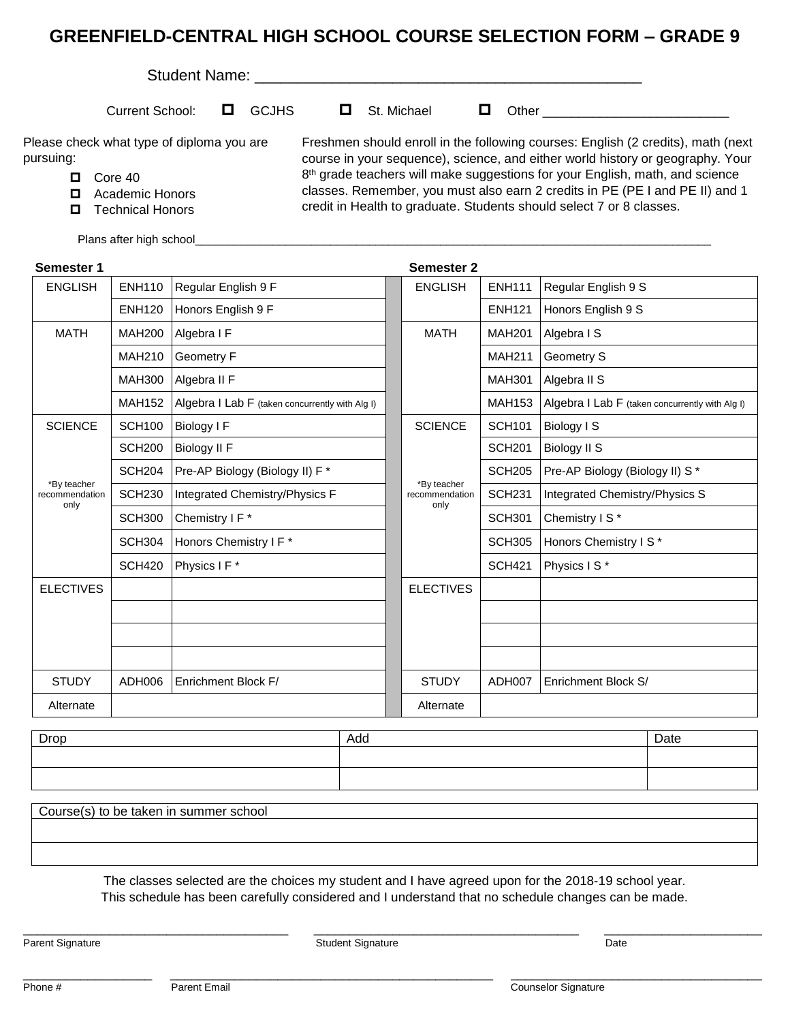## **GREENFIELD-CENTRAL HIGH SCHOOL COURSE SELECTION FORM – GRADE 9**

| Student Name: |                                           |  |              |             |                                                                                                                                                                    |
|---------------|-------------------------------------------|--|--------------|-------------|--------------------------------------------------------------------------------------------------------------------------------------------------------------------|
|               | Current School:                           |  | <b>GCJHS</b> | St. Michael | <b>Other Community</b>                                                                                                                                             |
| pursuing:     | Please check what type of diploma you are |  |              |             | Freshmen should enroll in the following courses: English (2 credits), math (next<br>course in your sequence), science, and either world history or geography. Your |
| 0             | Core 40                                   |  |              |             | 8th grade teachers will make suggestions for your English, math, and science                                                                                       |
| 0             | <b>Academic Honors</b>                    |  |              |             | classes. Remember, you must also earn 2 credits in PE (PE I and PE II) and 1                                                                                       |
| 0             | <b>Technical Honors</b>                   |  |              |             | credit in Health to graduate. Students should select 7 or 8 classes.                                                                                               |

Plans after high school\_

| Semester 1                            |               |                                                  |  | <b>Semester 2</b>                     |               |                                                 |
|---------------------------------------|---------------|--------------------------------------------------|--|---------------------------------------|---------------|-------------------------------------------------|
| <b>ENGLISH</b>                        | <b>ENH110</b> | Regular English 9 F                              |  | <b>ENGLISH</b>                        | <b>ENH111</b> | Regular English 9 S                             |
|                                       | <b>ENH120</b> | Honors English 9 F                               |  |                                       | <b>ENH121</b> | Honors English 9 S                              |
| <b>MATH</b>                           | <b>MAH200</b> | Algebra I F                                      |  | <b>MATH</b>                           | <b>MAH201</b> | Algebra I S                                     |
|                                       | <b>MAH210</b> | Geometry F                                       |  |                                       | <b>MAH211</b> | Geometry S                                      |
|                                       | <b>MAH300</b> | Algebra II F                                     |  |                                       | <b>MAH301</b> | Algebra II S                                    |
|                                       | <b>MAH152</b> | Algebra I Lab F (taken concurrently with Alg I)  |  |                                       | <b>MAH153</b> | Algebra I Lab F (taken concurrently with Alg I) |
| <b>SCIENCE</b>                        | <b>SCH100</b> | Biology I F                                      |  | <b>SCIENCE</b>                        | <b>SCH101</b> | Biology I S                                     |
|                                       | <b>SCH200</b> | Biology II F                                     |  |                                       | <b>SCH201</b> | Biology II S                                    |
|                                       | <b>SCH204</b> | Pre-AP Biology (Biology II) F *                  |  | *By teacher<br>recommendation<br>only | <b>SCH205</b> | Pre-AP Biology (Biology II) S *                 |
| *By teacher<br>recommendation<br>only | <b>SCH230</b> | Integrated Chemistry/Physics F<br>Chemistry I F* |  |                                       | <b>SCH231</b> | Integrated Chemistry/Physics S                  |
|                                       | <b>SCH300</b> |                                                  |  |                                       | <b>SCH301</b> | Chemistry I S*                                  |
|                                       | <b>SCH304</b> | Honors Chemistry I F*                            |  |                                       | <b>SCH305</b> | Honors Chemistry I S*                           |
|                                       | <b>SCH420</b> | Physics I F*                                     |  |                                       | <b>SCH421</b> | Physics I S*                                    |
| <b>ELECTIVES</b>                      |               |                                                  |  | <b>ELECTIVES</b>                      |               |                                                 |
|                                       |               |                                                  |  |                                       |               |                                                 |
|                                       |               |                                                  |  |                                       |               |                                                 |
|                                       |               |                                                  |  |                                       |               |                                                 |
| <b>STUDY</b>                          | ADH006        | Enrichment Block F/                              |  | <b>STUDY</b>                          | ADH007        | Enrichment Block S/                             |
| Alternate                             |               |                                                  |  | Alternate                             |               |                                                 |

| Drop | Add | Date |
|------|-----|------|
|      |     |      |
|      |     |      |

The classes selected are the choices my student and I have agreed upon for the 2018-19 school year.

This schedule has been carefully considered and I understand that no schedule changes can be made.

\_\_\_\_\_\_\_\_\_\_\_\_\_\_\_\_\_\_\_\_\_\_\_\_\_\_\_\_\_\_\_\_\_\_\_\_\_ \_\_\_\_\_\_\_\_\_\_\_\_\_\_\_\_\_\_\_\_\_\_\_\_\_\_\_\_\_\_\_\_\_\_\_\_\_ \_\_\_\_\_\_\_\_\_\_\_\_\_\_\_\_\_\_\_\_\_\_

\_\_\_\_\_\_\_\_\_\_\_\_\_\_\_\_\_\_ \_\_\_\_\_\_\_\_\_\_\_\_\_\_\_\_\_\_\_\_\_\_\_\_\_\_\_\_\_\_\_\_\_\_\_\_\_\_\_\_\_\_\_\_\_ \_\_\_\_\_\_\_\_\_\_\_\_\_\_\_\_\_\_\_\_\_\_\_\_\_\_\_\_\_\_\_\_\_\_\_

Parent Signature **Student Student Signature** Student Signature **Student Signature** Date

Course(s) to be taken in summer school